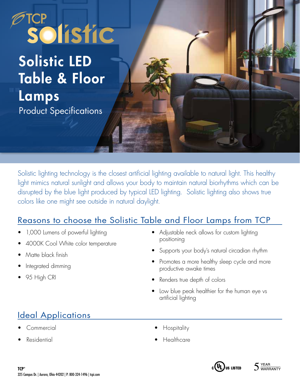# FTCP<br>Solistic

## Solistic LED Table & Floor Lamps Product Specifications

Solistic lighting technology is the closest artificial lighting available to natural light. This healthy light mimics natural sunlight and allows your body to maintain natural biorhythms which can be disrupted by the blue light produced by typical LED lighting. Solistic lighting also shows true colors like one might see outside in natural daylight.

### Reasons to choose the Solistic Table and Floor Lamps from TCP

- 1,000 Lumens of powerful lighting
- 4000K Cool White color temperature
- Matte black finish
- Integrated dimming
- 95 High CRI
- Adjustable neck allows for custom lighting positioning
- Supports your body's natural circadian rhythm
- Promotes a more healthy sleep cycle and more productive awake times
- Renders true depth of colors
- Low blue peak healthier for the human eye vs artificial lighting

## Ideal Applications

- Commercial
- **Residential**
- **Hospitality**
- Healthcare